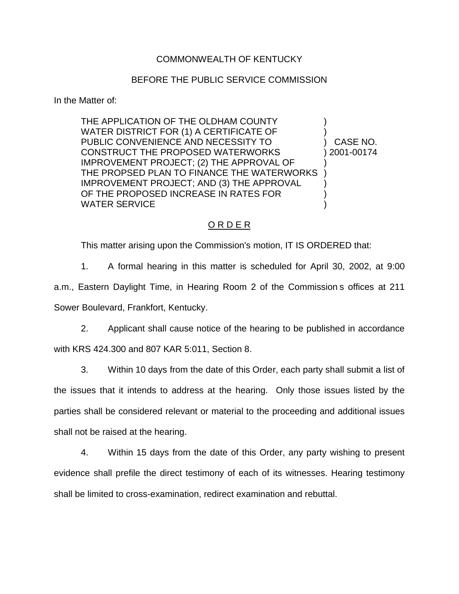## COMMONWEALTH OF KENTUCKY

## BEFORE THE PUBLIC SERVICE COMMISSION

In the Matter of:

THE APPLICATION OF THE OLDHAM COUNTY WATER DISTRICT FOR (1) A CERTIFICATE OF PUBLIC CONVENIENCE AND NECESSITY TO ) CASE NO. CONSTRUCT THE PROPOSED WATERWORKS ) 2001-00174 IMPROVEMENT PROJECT; (2) THE APPROVAL OF ) THE PROPSED PLAN TO FINANCE THE WATERWORKS IMPROVEMENT PROJECT; AND (3) THE APPROVAL ) OF THE PROPOSED INCREASE IN RATES FOR WATER SERVICE

## O R D E R

This matter arising upon the Commission's motion, IT IS ORDERED that:

1. A formal hearing in this matter is scheduled for April 30, 2002, at 9:00

a.m., Eastern Daylight Time, in Hearing Room 2 of the Commission s offices at 211 Sower Boulevard, Frankfort, Kentucky.

2. Applicant shall cause notice of the hearing to be published in accordance with KRS 424.300 and 807 KAR 5:011, Section 8.

3. Within 10 days from the date of this Order, each party shall submit a list of the issues that it intends to address at the hearing. Only those issues listed by the parties shall be considered relevant or material to the proceeding and additional issues shall not be raised at the hearing.

4. Within 15 days from the date of this Order, any party wishing to present evidence shall prefile the direct testimony of each of its witnesses. Hearing testimony shall be limited to cross-examination, redirect examination and rebuttal.